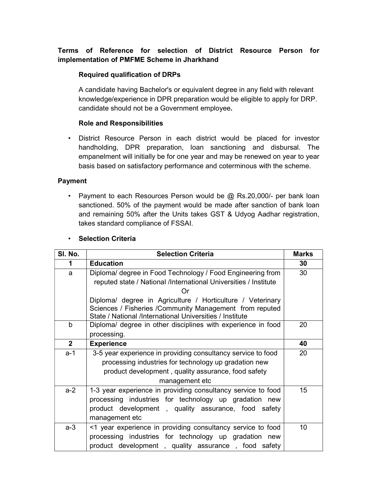# Terms of Reference for selection of District Resource Person for implementation of PMFME Scheme in Jharkhand

## Required qualification of DRPs

A candidate having Bachelor's or equivalent degree in any field with relevant knowledge/experience in DPR preparation would be eligible to apply for DRP. candidate should not be a Government employee.

### Role and Responsibilities

• District Resource Person in each district would be placed for investor handholding, DPR preparation, loan sanctioning and disbursal. The empanelment will initially be for one year and may be renewed on year to year basis based on satisfactory performance and coterminous with the scheme.

### Payment

• Payment to each Resources Person would be  $@$  Rs. 20,000/- per bank loan sanctioned. 50% of the payment would be made after sanction of bank loan and remaining 50% after the Units takes GST & Udyog Aadhar registration, takes standard compliance of FSSAI.

### • Selection Criteria

| SI. No.        | <b>Selection Criteria</b>                                                                                                                                                                      | <b>Marks</b>    |
|----------------|------------------------------------------------------------------------------------------------------------------------------------------------------------------------------------------------|-----------------|
| 1              | <b>Education</b>                                                                                                                                                                               | 30              |
| a              | Diploma/ degree in Food Technology / Food Engineering from<br>reputed state / National /International Universities / Institute<br>∩r                                                           | 30              |
|                | Diploma/ degree in Agriculture / Horticulture / Veterinary<br>Sciences / Fisheries / Community Management from reputed<br>State / National /International Universities / Institute             |                 |
| $\mathbf b$    | Diploma/ degree in other disciplines with experience in food<br>processing.                                                                                                                    | 20              |
| 2 <sup>1</sup> | <b>Experience</b>                                                                                                                                                                              | 40              |
| a-1            | 3-5 year experience in providing consultancy service to food<br>processing industries for technology up gradation new<br>product development, quality assurance, food safety<br>management etc | 20              |
| $a-2$          | 1-3 year experience in providing consultancy service to food<br>processing industries for technology up gradation new<br>product development, quality assurance, food safety<br>management etc | 15 <sup>2</sup> |
| $a-3$          | <1 year experience in providing consultancy service to food<br>processing industries for technology up gradation new<br>product development, quality assurance, food safety                    | 10              |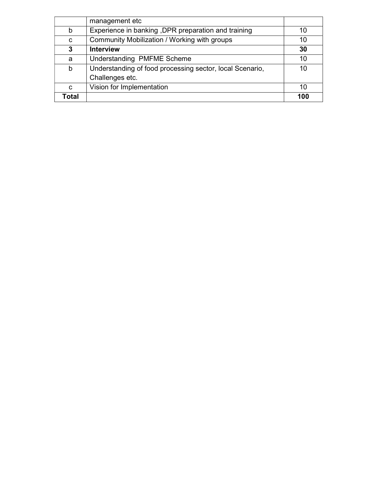|              | management etc                                           |     |
|--------------|----------------------------------------------------------|-----|
| b            | Experience in banking, DPR preparation and training      | 10  |
| C            | Community Mobilization / Working with groups             | 10  |
| 3            | <b>Interview</b>                                         | 30  |
| a            | Understanding PMFME Scheme                               | 10  |
| b            | Understanding of food processing sector, local Scenario, | 10  |
|              | Challenges etc.                                          |     |
| C            | Vision for Implementation                                | 10  |
| <b>Total</b> |                                                          | 100 |